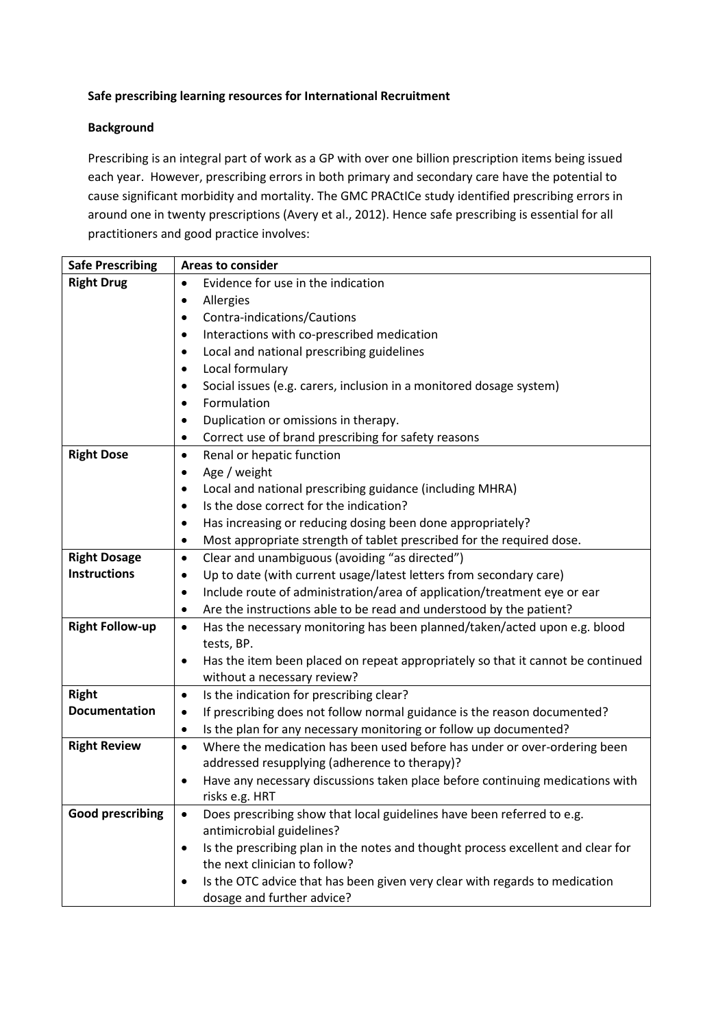## **Safe prescribing learning resources for International Recruitment**

## **Background**

Prescribing is an integral part of work as a GP with over one billion prescription items being issued each year. However, prescribing errors in both primary and secondary care have the potential to cause significant morbidity and mortality. The GMC PRACtICe study identified prescribing errors in around one in twenty prescriptions (Avery et al., 2012). Hence safe prescribing is essential for all practitioners and good practice involves:

| <b>Areas to consider</b>                                                                                                       |
|--------------------------------------------------------------------------------------------------------------------------------|
| Evidence for use in the indication<br>$\bullet$                                                                                |
| Allergies<br>٠                                                                                                                 |
| Contra-indications/Cautions<br>$\bullet$                                                                                       |
| Interactions with co-prescribed medication<br>$\bullet$                                                                        |
| Local and national prescribing guidelines<br>٠                                                                                 |
| Local formulary<br>$\bullet$                                                                                                   |
| Social issues (e.g. carers, inclusion in a monitored dosage system)<br>٠                                                       |
| Formulation<br>$\bullet$                                                                                                       |
| Duplication or omissions in therapy.<br>$\bullet$                                                                              |
| Correct use of brand prescribing for safety reasons<br>٠                                                                       |
| Renal or hepatic function<br>$\bullet$                                                                                         |
| Age / weight<br>$\bullet$                                                                                                      |
| Local and national prescribing guidance (including MHRA)<br>$\bullet$                                                          |
| Is the dose correct for the indication?<br>$\bullet$                                                                           |
| Has increasing or reducing dosing been done appropriately?<br>$\bullet$                                                        |
| Most appropriate strength of tablet prescribed for the required dose.<br>٠                                                     |
| Clear and unambiguous (avoiding "as directed")<br>$\bullet$                                                                    |
| Up to date (with current usage/latest letters from secondary care)<br>$\bullet$                                                |
| Include route of administration/area of application/treatment eye or ear<br>٠                                                  |
| Are the instructions able to be read and understood by the patient?<br>٠                                                       |
| Has the necessary monitoring has been planned/taken/acted upon e.g. blood<br>$\bullet$                                         |
| tests, BP.                                                                                                                     |
| Has the item been placed on repeat appropriately so that it cannot be continued<br>٠                                           |
| without a necessary review?                                                                                                    |
| Is the indication for prescribing clear?<br>$\bullet$                                                                          |
| If prescribing does not follow normal guidance is the reason documented?<br>٠                                                  |
| Is the plan for any necessary monitoring or follow up documented?<br>$\bullet$                                                 |
| Where the medication has been used before has under or over-ordering been<br>$\bullet$                                         |
| addressed resupplying (adherence to therapy)?                                                                                  |
| Have any necessary discussions taken place before continuing medications with<br>$\bullet$                                     |
| risks e.g. HRT                                                                                                                 |
| Does prescribing show that local guidelines have been referred to e.g.<br>$\bullet$                                            |
| antimicrobial guidelines?                                                                                                      |
| Is the prescribing plan in the notes and thought process excellent and clear for<br>$\bullet$<br>the next clinician to follow? |
|                                                                                                                                |
| Is the OTC advice that has been given very clear with regards to medication<br>٠<br>dosage and further advice?                 |
|                                                                                                                                |